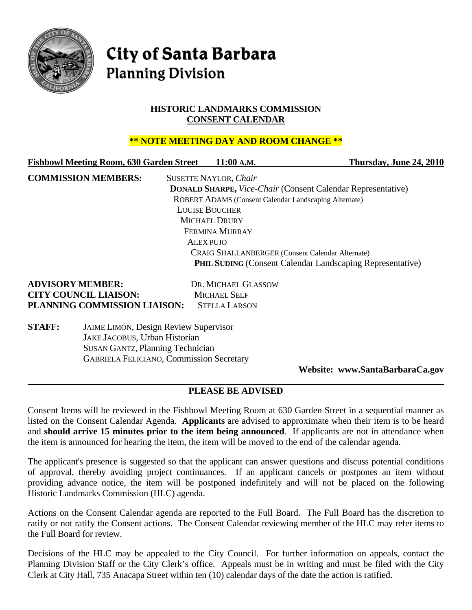

# **City of Santa Barbara Planning Division**

## **HISTORIC LANDMARKS COMMISSION CONSENT CALENDAR**

## **\*\* NOTE MEETING DAY AND ROOM CHANGE \*\***

| <b>Fishbowl Meeting Room, 630 Garden Street</b> | 11:00 A.M.                                                   | Thursday, June 24, 2010                                            |
|-------------------------------------------------|--------------------------------------------------------------|--------------------------------------------------------------------|
| <b>COMMISSION MEMBERS:</b>                      | <b>SUSETTE NAYLOR, Chair</b>                                 |                                                                    |
|                                                 |                                                              | <b>DONALD SHARPE, Vice-Chair (Consent Calendar Representative)</b> |
|                                                 | <b>ROBERT ADAMS (Consent Calendar Landscaping Alternate)</b> |                                                                    |
|                                                 | <b>LOUISE BOUCHER</b>                                        |                                                                    |
|                                                 | <b>MICHAEL DRURY</b>                                         |                                                                    |
|                                                 | FERMINA MURRAY                                               |                                                                    |
|                                                 | ALEX PUIO                                                    |                                                                    |
|                                                 | <b>CRAIG SHALLANBERGER (Consent Calendar Alternate)</b>      |                                                                    |
|                                                 |                                                              | <b>PHIL SUDING (Consent Calendar Landscaping Representative)</b>   |

# **ADVISORY MEMBER:** DR. MICHAEL GLASSOW **CITY COUNCIL LIAISON:** MICHAEL SELF **PLANNING COMMISSION LIAISON:** STELLA LARSON

**STAFF:** JAIME LIMÓN, Design Review Supervisor JAKE JACOBUS, Urban Historian SUSAN GANTZ, Planning Technician GABRIELA FELICIANO, Commission Secretary

**Website: www.SantaBarbaraCa.gov** 

# **PLEASE BE ADVISED**

Consent Items will be reviewed in the Fishbowl Meeting Room at 630 Garden Street in a sequential manner as listed on the Consent Calendar Agenda. **Applicants** are advised to approximate when their item is to be heard and **should arrive 15 minutes prior to the item being announced**. If applicants are not in attendance when the item is announced for hearing the item, the item will be moved to the end of the calendar agenda.

The applicant's presence is suggested so that the applicant can answer questions and discuss potential conditions of approval, thereby avoiding project continuances. If an applicant cancels or postpones an item without providing advance notice, the item will be postponed indefinitely and will not be placed on the following Historic Landmarks Commission (HLC) agenda.

Actions on the Consent Calendar agenda are reported to the Full Board. The Full Board has the discretion to ratify or not ratify the Consent actions. The Consent Calendar reviewing member of the HLC may refer items to the Full Board for review.

Decisions of the HLC may be appealed to the City Council. For further information on appeals, contact the Planning Division Staff or the City Clerk's office. Appeals must be in writing and must be filed with the City Clerk at City Hall, 735 Anacapa Street within ten (10) calendar days of the date the action is ratified.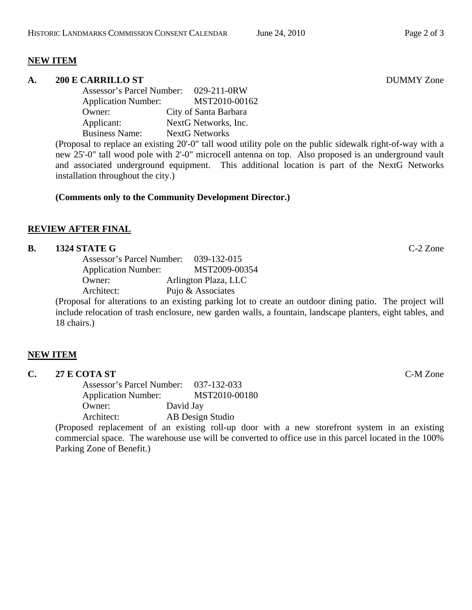## **NEW ITEM**

#### **A. 200 E CARRILLO ST** DUMMY Zone

Assessor's Parcel Number: 029-211-0RW Application Number: MST2010-00162 Owner: City of Santa Barbara Applicant: NextG Networks, Inc. Business Name: NextG Networks

(Proposal to replace an existing 20'-0" tall wood utility pole on the public sidewalk right-of-way with a new 25'-0" tall wood pole with 2'-0" microcell antenna on top. Also proposed is an underground vault and associated underground equipment. This additional location is part of the NextG Networks installation throughout the city.)

## **(Comments only to the Community Development Director.)**

## **REVIEW AFTER FINAL**

#### **B. 1324 STATE G** C-2 Zone

| Assessor's Parcel Number:  | 039-132-015          |
|----------------------------|----------------------|
| <b>Application Number:</b> | MST2009-00354        |
| Owner:                     | Arlington Plaza, LLC |
| Architect:                 | Pujo & Associates    |
|                            |                      |

(Proposal for alterations to an existing parking lot to create an outdoor dining patio. The project will include relocation of trash enclosure, new garden walls, a fountain, landscape planters, eight tables, and 18 chairs.)

## **NEW ITEM**

| U. | 27 E COTA ST<br>______ | C-M Zone |  |
|----|------------------------|----------|--|
|    |                        |          |  |

Assessor's Parcel Number: 037-132-033 Application Number: MST2010-00180 Owner: David Jay Architect: AB Design Studio

(Proposed replacement of an existing roll-up door with a new storefront system in an existing commercial space. The warehouse use will be converted to office use in this parcel located in the 100% Parking Zone of Benefit.)